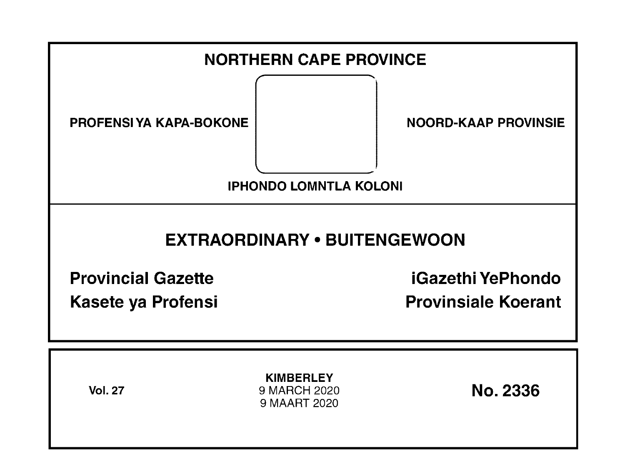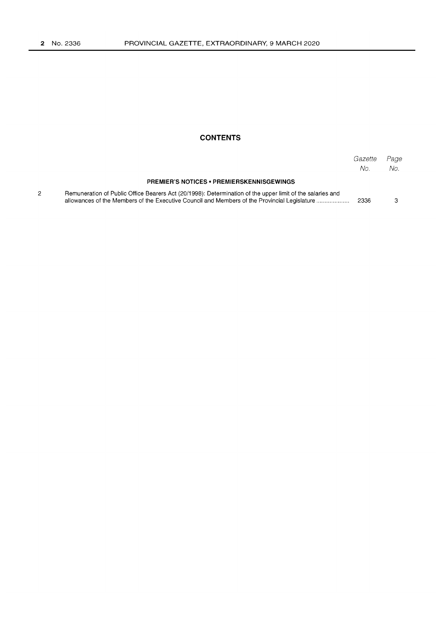#### **CONTENTS**

|                                                                                                                                                                                                           | Gazette<br>No. | Page<br>No. |
|-----------------------------------------------------------------------------------------------------------------------------------------------------------------------------------------------------------|----------------|-------------|
| <b>PREMIER'S NOTICES • PREMIERSKENNISGEWINGS</b>                                                                                                                                                          |                |             |
| Remuneration of Public Office Bearers Act (20/1998): Determination of the upper limit of the salaries and<br>allowances of the Members of the Executive Council and Members of the Provincial Legislature | 2336           |             |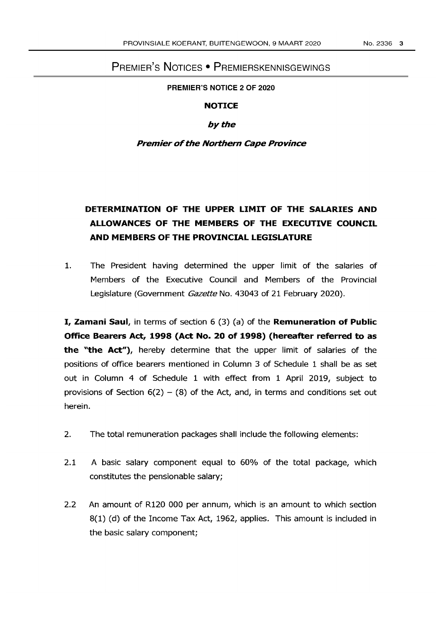# PREMIER'S NOTICES • PREMIERSKENNISGEWINGS

**PREMIER'S NOTICE 2 OF 2020** 

#### **NOTICE**

## *by* the

## **Premier** of the **Northern Cape Province**

# **DETERMINATION OF THE UPPER LIMIT OF THE SALARIES AND ALLOWANCES OF THE MEMBERS OF THE EXECUTIVE COUNCIL AND MEMBERS OF THE PROVINCIAL LEGISLATURE**

1. The President having determined the upper limit of the salaries of Members of the Executive Council and Members of the Provincial Legislature (Government Gazette No. 43043 of 21 February 2020).

**I, Zamani Saul,** in terms of section 6 (3) (a) of the **Remuneration of Public Office Bearers Act, 1998 (Act No. 20 of 1998) (hereafter referred to as the "the Act"),** hereby determine that the upper limit of salaries of the positions of office bearers mentioned in Column 3 of Schedule 1 shall be as set out in Column 4 of Schedule 1 with effect from 1 April 2019, subject to provisions of Section  $6(2) - (8)$  of the Act, and, in terms and conditions set out herein.

- 2. The total remuneration packages shall include the following elements:
- 2.1 A basic salary component equal to 60% of the total package, which constitutes the pensionable salary;
- 2.2 An amount of R120 000 per annum, which is an amount to which section 8(1) (d) of the Income Tax Act, 1962, applies. This amount is included in the basic salary component;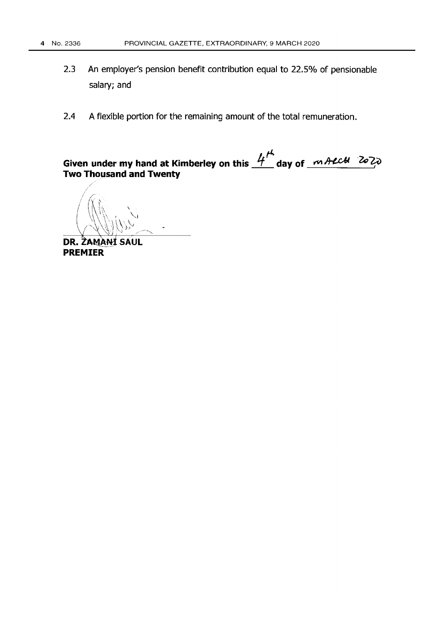- An employer's pension benefit contribution equal to 22.5% of pensionable  $2.3$ salary; and
- A flexible portion for the remaining amount of the total remuneration.  $2.4$

Given under my hand at Kimberley on this  $4^{\mu}$  day of  $44.424$   $202$ **Two Thousand and Twenty** 

DR. ZAMANÍ SAUL **PREMIER**